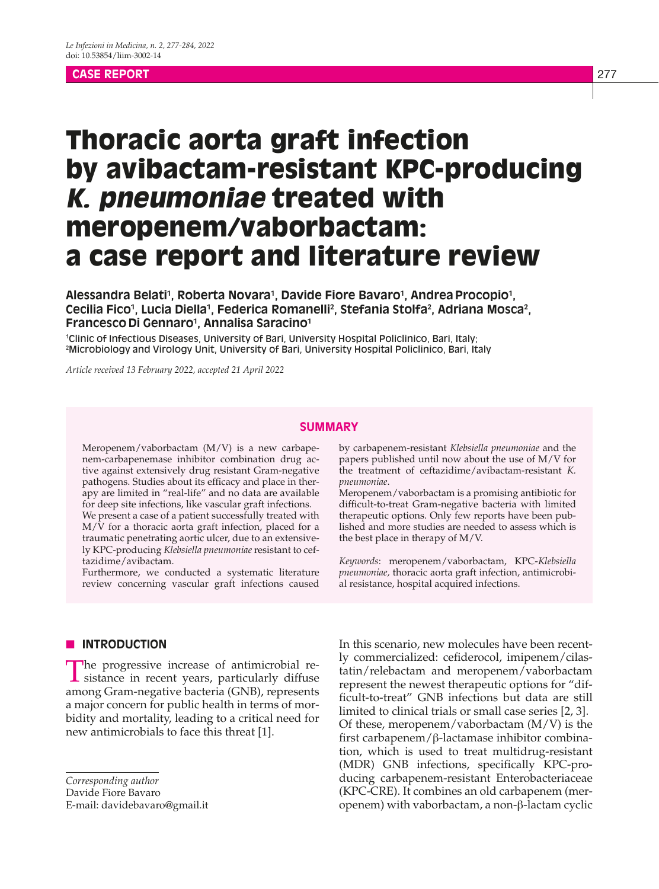#### **CASE REPORT** 277

# Thoracic aorta graft infection by avibactam-resistant KPC-producing K. pneumoniae treated with meropenem/vaborbactam: a case report and literature review

## Alessandra Belati<sup>1</sup>, Roberta Novara<sup>1</sup>, Davide Fiore Bavaro<sup>1</sup>, Andrea Procopio<sup>1</sup>, Cecilia Fico<sup>1</sup>, Lucia Diella<sup>1</sup>, Federica Romanelli<sup>2</sup>, Stefania Stolfa<sup>2</sup>, Adriana Mosca<sup>2</sup>, **Francesco Di Gennaro1 , Annalisa Saracino1**

1 Clinic of Infectious Diseases, University of Bari, University Hospital Policlinico, Bari, Italy; 2 Microbiology and Virology Unit, University of Bari, University Hospital Policlinico, Bari, Italy

*Article received 13 February 2022, accepted 21 April 2022*

## **SUMMARY**

Meropenem/vaborbactam (M/V) is a new carbapenem-carbapenemase inhibitor combination drug active against extensively drug resistant Gram-negative pathogens. Studies about its efficacy and place in therapy are limited in "real-life" and no data are available for deep site infections, like vascular graft infections.

We present a case of a patient successfully treated with  $M/V$  for a thoracic aorta graft infection, placed for a traumatic penetrating aortic ulcer, due to an extensively KPC-producing *Klebsiella pneumoniae* resistant to ceftazidime/avibactam.

Furthermore, we conducted a systematic literature review concerning vascular graft infections caused by carbapenem-resistant *Klebsiella pneumoniae* and the papers published until now about the use of M/V for the treatment of ceftazidime/avibactam-resistant *K. pneumoniae*.

Meropenem/vaborbactam is a promising antibiotic for difficult-to-treat Gram-negative bacteria with limited therapeutic options. Only few reports have been published and more studies are needed to assess which is the best place in therapy of M/V.

*Keywords*: meropenem/vaborbactam, KPC-*Klebsiella pneumoniae,* thoracic aorta graft infection, antimicrobial resistance, hospital acquired infections.

#### **N** INTRODUCTION

The progressive increase of antimicrobial resistance in recent years, particularly diffuse among Gram-negative bacteria (GNB), represents a major concern for public health in terms of morbidity and mortality, leading to a critical need for new antimicrobials to face this threat [1].

*Corresponding author* Davide Fiore Bavaro

E-mail: davidebavaro@gmail.it

In this scenario, new molecules have been recently commercialized: cefiderocol, imipenem/cilastatin/relebactam and meropenem/vaborbactam represent the newest therapeutic options for "difficult-to-treat" GNB infections but data are still limited to clinical trials or small case series [2, 3]. Of these, meropenem/vaborbactam (M/V) is the first carbapenem/β-lactamase inhibitor combination, which is used to treat multidrug-resistant (MDR) GNB infections, specifically KPC-producing carbapenem-resistant Enterobacteriaceae (KPC-CRE). It combines an old carbapenem (meropenem) with vaborbactam, a non-β-lactam cyclic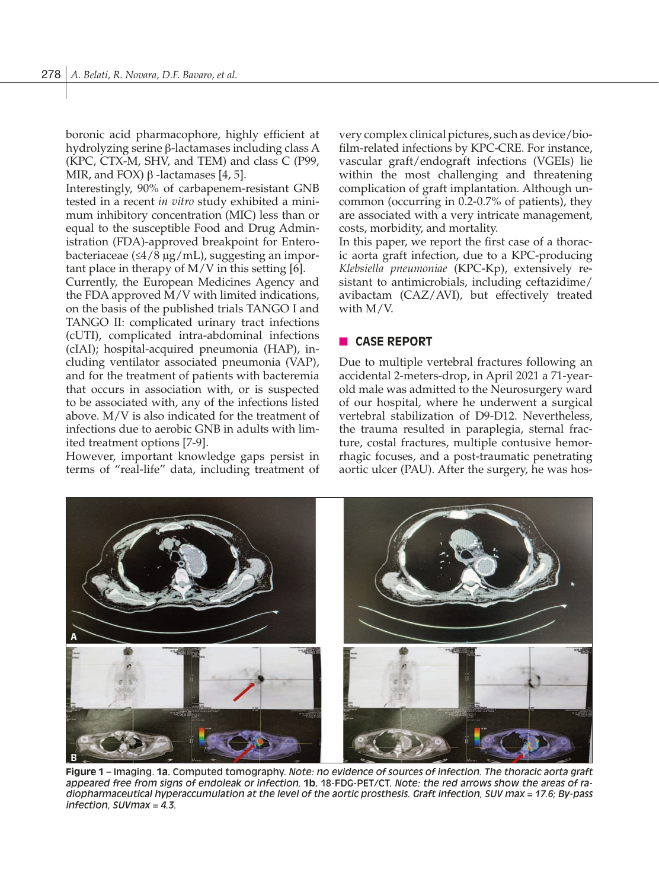boronic acid pharmacophore, highly efficient at hydrolyzing serine β-lactamases including class A (KPC, CTX-M, SHV, and TEM) and class C (P99, MIR, and FOX)  $\beta$  -lactamases [4, 5].

Interestingly, 90% of carbapenem-resistant GNB tested in a recent *in vitro* study exhibited a minimum inhibitory concentration (MIC) less than or equal to the susceptible Food and Drug Administration (FDA)-approved breakpoint for Enterobacteriaceae (≤4/8 µg/mL), suggesting an important place in therapy of M/V in this setting [6].

Currently, the European Medicines Agency and the FDA approved M/V with limited indications, on the basis of the published trials TANGO I and TANGO II: complicated urinary tract infections (cUTI), complicated intra-abdominal infections (cIAI); hospital-acquired pneumonia (HAP), including ventilator associated pneumonia (VAP), and for the treatment of patients with bacteremia that occurs in association with, or is suspected to be associated with, any of the infections listed above. M/V is also indicated for the treatment of infections due to aerobic GNB in adults with limited treatment options [7-9].

However, important knowledge gaps persist in terms of "real-life" data, including treatment of

very complex clinical pictures, such as device/biofilm-related infections by KPC-CRE. For instance, vascular graft/endograft infections (VGEIs) lie within the most challenging and threatening complication of graft implantation. Although uncommon (occurring in 0.2-0.7% of patients), they are associated with a very intricate management, costs, morbidity, and mortality.

In this paper, we report the first case of a thoracic aorta graft infection, due to a KPC-producing *Klebsiella pneumoniae* (KPC-Kp), extensively resistant to antimicrobials, including ceftazidime/ avibactam (CAZ/AVI), but effectively treated with M/V.

## **n** CASE REPORT

Due to multiple vertebral fractures following an accidental 2-meters-drop, in April 2021 a 71-yearold male was admitted to the Neurosurgery ward of our hospital, where he underwent a surgical vertebral stabilization of D9-D12. Nevertheless, the trauma resulted in paraplegia, sternal fracture, costal fractures, multiple contusive hemorrhagic focuses, and a post-traumatic penetrating aortic ulcer (PAU). After the surgery, he was hos-



**Figure 1** – Imaging. **1a.** Computed tomography. *Note: no evidence of sources of infection. The thoracic aorta graft appeared free from signs of endoleak or infection.* **1b.** 18-FDG-PET/CT. *Note: the red arrows show the areas of radiopharmaceutical hyperaccumulation at the level of the aortic prosthesis. Graft infection, SUV max = 17.6; By-pass infection, SUVmax = 4.3.*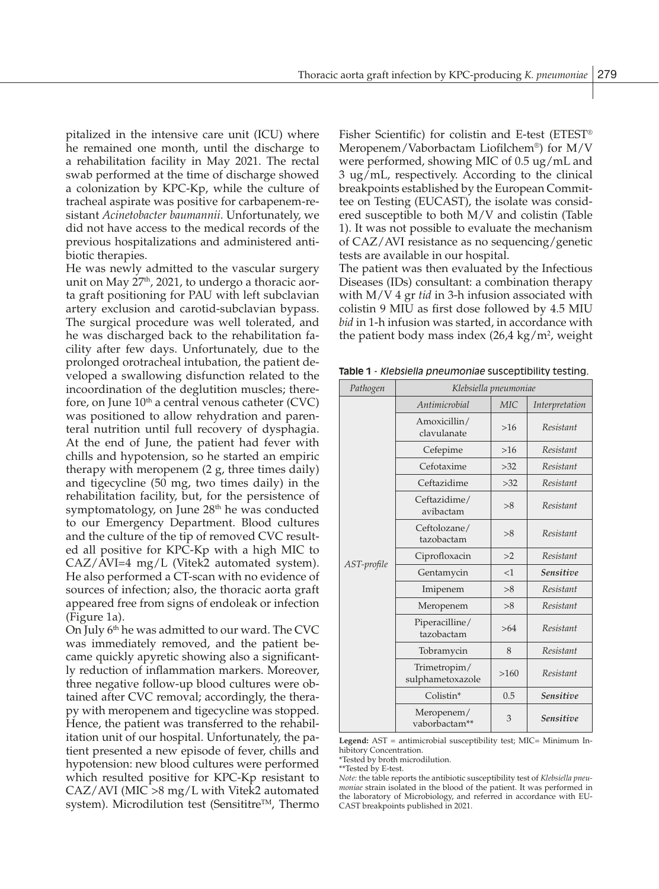pitalized in the intensive care unit (ICU) where he remained one month, until the discharge to a rehabilitation facility in May 2021. The rectal swab performed at the time of discharge showed a colonization by KPC-Kp, while the culture of tracheal aspirate was positive for carbapenem-resistant *Acinetobacter baumannii*. Unfortunately, we did not have access to the medical records of the previous hospitalizations and administered antibiotic therapies.

He was newly admitted to the vascular surgery unit on May  $27<sup>th</sup>$ , 2021, to undergo a thoracic aorta graft positioning for PAU with left subclavian artery exclusion and carotid-subclavian bypass. The surgical procedure was well tolerated, and he was discharged back to the rehabilitation facility after few days. Unfortunately, due to the prolonged orotracheal intubation, the patient developed a swallowing disfunction related to the incoordination of the deglutition muscles; therefore, on June  $10<sup>th</sup>$  a central venous catheter (CVC) was positioned to allow rehydration and parenteral nutrition until full recovery of dysphagia. At the end of June, the patient had fever with chills and hypotension, so he started an empiric therapy with meropenem (2 g, three times daily) and tigecycline (50 mg, two times daily) in the rehabilitation facility, but, for the persistence of symptomatology, on June 28<sup>th</sup> he was conducted to our Emergency Department. Blood cultures and the culture of the tip of removed CVC resulted all positive for KPC-Kp with a high MIC to CAZ/AVI=4 mg/L (Vitek2 automated system). He also performed a CT-scan with no evidence of sources of infection; also, the thoracic aorta graft appeared free from signs of endoleak or infection (Figure 1a).

On July  $6<sup>th</sup>$  he was admitted to our ward. The CVC was immediately removed, and the patient became quickly apyretic showing also a significantly reduction of inflammation markers. Moreover, three negative follow-up blood cultures were obtained after CVC removal; accordingly, the therapy with meropenem and tigecycline was stopped. Hence, the patient was transferred to the rehabilitation unit of our hospital. Unfortunately, the patient presented a new episode of fever, chills and hypotension: new blood cultures were performed which resulted positive for KPC-Kp resistant to CAZ/AVI (MIC >8 mg/L with Vitek2 automated system). Microdilution test (Sensititre™, Thermo Fisher Scientific) for colistin and E-test (ETEST® Meropenem/Vaborbactam Liofilchem®) for M/V were performed, showing MIC of 0.5 ug/mL and 3 ug/mL, respectively. According to the clinical breakpoints established by the European Committee on Testing (EUCAST), the isolate was considered susceptible to both M/V and colistin (Table 1). It was not possible to evaluate the mechanism of CAZ/AVI resistance as no sequencing/genetic tests are available in our hospital.

The patient was then evaluated by the Infectious Diseases (IDs) consultant: a combination therapy with M/V 4 gr *tid* in 3-h infusion associated with colistin 9 MIU as first dose followed by 4.5 MIU *bid* in 1-h infusion was started, in accordance with the patient body mass index  $(26,4 \text{ kg/m}^2)$ , weight

**Table 1** - *Klebsiella pneumoniae* susceptibility testing.

| Pathogen    | Klebsiella pneumoniae            |       |                  |  |  |  |
|-------------|----------------------------------|-------|------------------|--|--|--|
|             | Antimicrobial                    | MIC.  | Interpretation   |  |  |  |
|             | Amoxicillin/<br>clavulanate      | $>16$ | Resistant        |  |  |  |
|             | Cefepime                         | $>16$ | Resistant        |  |  |  |
| AST-profile | Cefotaxime                       | >32   | Resistant        |  |  |  |
|             | Ceftazidime                      | >32   | Resistant        |  |  |  |
|             | Ceftazidime/<br>avibactam        | >8    | Resistant        |  |  |  |
|             | Ceftolozane/<br>tazobactam       | >8    | Resistant        |  |  |  |
|             | Ciprofloxacin                    | >2    | Resistant        |  |  |  |
|             | Gentamycin                       | <1    | <b>Sensitive</b> |  |  |  |
|             | Imipenem                         | >8    | Resistant        |  |  |  |
|             | Meropenem                        | >8    | Resistant        |  |  |  |
|             | Piperacilline/<br>tazobactam     | >64   | Resistant        |  |  |  |
|             | Tobramycin                       | 8     | Resistant        |  |  |  |
|             | Trimetropim/<br>sulphametoxazole | >160  | Resistant        |  |  |  |
|             | Colistin*                        | 0.5   | <b>Sensitive</b> |  |  |  |
|             | Meropenem/<br>vaborbactam**      | 3     | <b>Sensitive</b> |  |  |  |

**Legend:** AST = antimicrobial susceptibility test; MIC= Minimum Inhibitory Concentration.

\*Tested by broth microdilution.

\*\*Tested by E-test.

*Note:* the table reports the antibiotic susceptibility test of *Klebsiella pneumoniae* strain isolated in the blood of the patient. It was performed in the laboratory of Microbiology, and referred in accordance with EU-CAST breakpoints published in 2021.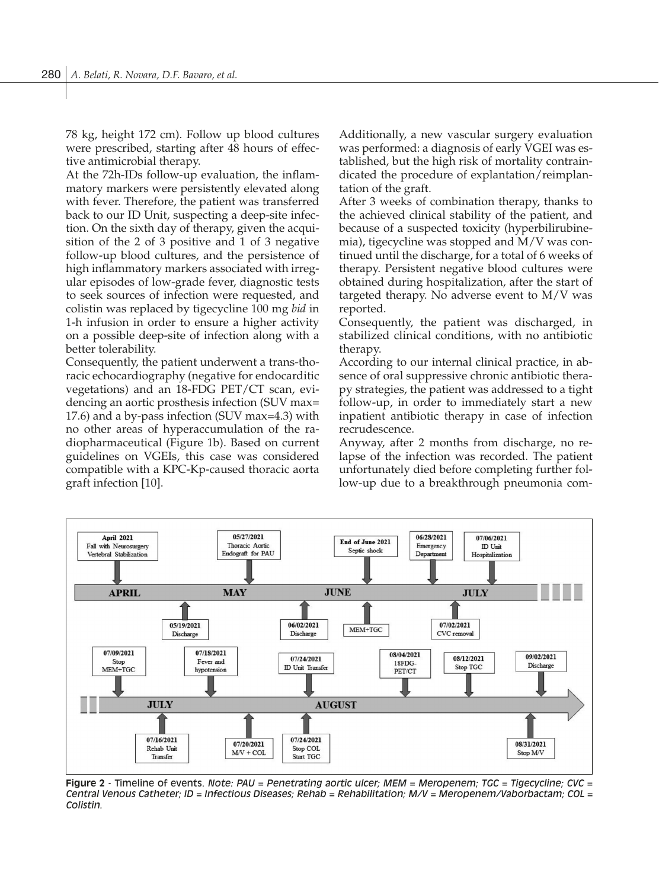78 kg, height 172 cm). Follow up blood cultures were prescribed, starting after 48 hours of effective antimicrobial therapy.

At the 72h-IDs follow-up evaluation, the inflammatory markers were persistently elevated along with fever. Therefore, the patient was transferred back to our ID Unit, suspecting a deep-site infection. On the sixth day of therapy, given the acquisition of the 2 of 3 positive and 1 of 3 negative follow-up blood cultures, and the persistence of high inflammatory markers associated with irregular episodes of low-grade fever, diagnostic tests to seek sources of infection were requested, and colistin was replaced by tigecycline 100 mg *bid* in 1-h infusion in order to ensure a higher activity on a possible deep-site of infection along with a better tolerability.

Consequently, the patient underwent a trans-thoracic echocardiography (negative for endocarditic vegetations) and an 18-FDG PET/CT scan, evidencing an aortic prosthesis infection (SUV max= 17.6) and a by-pass infection (SUV max=4.3) with no other areas of hyperaccumulation of the radiopharmaceutical (Figure 1b). Based on current guidelines on VGEIs, this case was considered compatible with a KPC-Kp-caused thoracic aorta graft infection [10].

Additionally, a new vascular surgery evaluation was performed: a diagnosis of early VGEI was established, but the high risk of mortality contraindicated the procedure of explantation/reimplantation of the graft.

After 3 weeks of combination therapy, thanks to the achieved clinical stability of the patient, and because of a suspected toxicity (hyperbilirubinemia), tigecycline was stopped and M/V was continued until the discharge, for a total of 6 weeks of therapy. Persistent negative blood cultures were obtained during hospitalization, after the start of targeted therapy. No adverse event to M/V was reported.

Consequently, the patient was discharged, in stabilized clinical conditions, with no antibiotic therapy.

According to our internal clinical practice, in absence of oral suppressive chronic antibiotic therapy strategies, the patient was addressed to a tight follow-up, in order to immediately start a new inpatient antibiotic therapy in case of infection recrudescence.

Anyway, after 2 months from discharge, no relapse of the infection was recorded. The patient unfortunately died before completing further follow-up due to a breakthrough pneumonia com-



**Figure 2** - Timeline of events. *Note: PAU = Penetrating aortic ulcer; MEM = Meropenem; TGC = Tigecycline; CVC = Central Venous Catheter; ID = Infectious Diseases; Rehab = Rehabilitation; M/V = Meropenem/Vaborbactam; COL = Colistin.*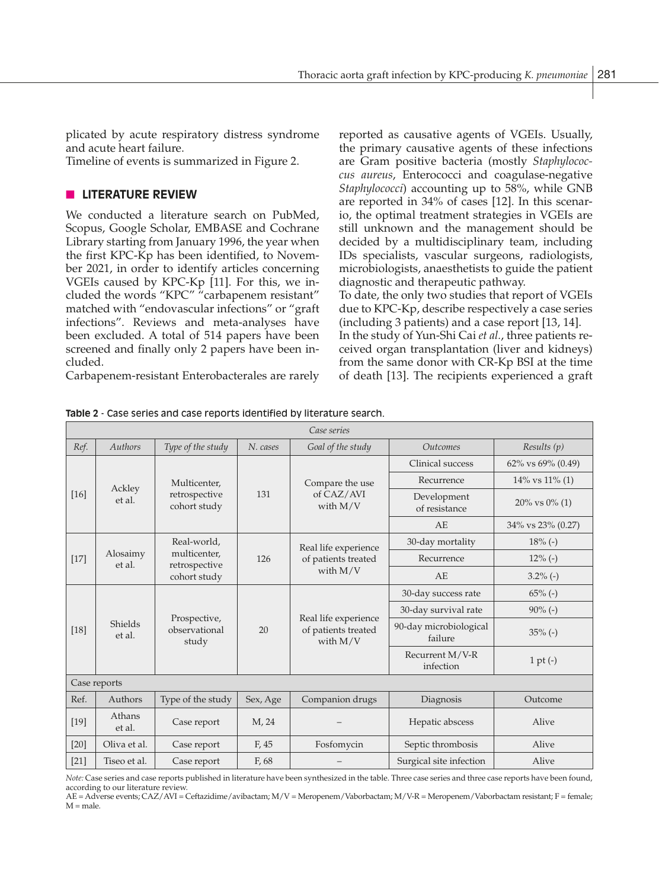plicated by acute respiratory distress syndrome and acute heart failure.

Timeline of events is summarized in Figure 2.

## **n** LITERATURE REVIEW

We conducted a literature search on PubMed, Scopus, Google Scholar, EMBASE and Cochrane Library starting from January 1996, the year when the first KPC-Kp has been identified, to November 2021, in order to identify articles concerning VGEIs caused by KPC-Kp [11]. For this, we included the words "KPC" "carbapenem resistant" matched with "endovascular infections" or "graft infections". Reviews and meta-analyses have been excluded. A total of 514 papers have been screened and finally only 2 papers have been included.

Carbapenem-resistant Enterobacterales are rarely

reported as causative agents of VGEIs. Usually, the primary causative agents of these infections are Gram positive bacteria (mostly *Staphylococcus aureus*, Enterococci and coagulase-negative *Staphylococci*) accounting up to 58%, while GNB are reported in 34% of cases [12]. In this scenario, the optimal treatment strategies in VGEIs are still unknown and the management should be decided by a multidisciplinary team, including IDs specialists, vascular surgeons, radiologists, microbiologists, anaesthetists to guide the patient diagnostic and therapeutic pathway.

To date, the only two studies that report of VGEIs due to KPC-Kp, describe respectively a case series (including 3 patients) and a case report [13, 14].

In the study of Yun-Shi Cai *et al.*, three patients received organ transplantation (liver and kidneys) from the same donor with CR-Kp BSI at the time of death [13]. The recipients experienced a graft

| Case series  |                    |                                                              |          |                                                           |                                   |                      |  |  |  |
|--------------|--------------------|--------------------------------------------------------------|----------|-----------------------------------------------------------|-----------------------------------|----------------------|--|--|--|
| Ref.         | Authors            | Type of the study                                            | N. cases | Goal of the study                                         | <i><u><b>Outcomes</b></u></i>     | Results(p)           |  |  |  |
| $[16]$       | Ackley<br>et al.   | Multicenter,<br>retrospective<br>cohort study                | 131      | Compare the use<br>of CAZ/AVI<br>with $M/V$               | Clinical success                  | 62% vs 69% (0.49)    |  |  |  |
|              |                    |                                                              |          |                                                           | Recurrence                        | $14\%$ vs $11\%$ (1) |  |  |  |
|              |                    |                                                              |          |                                                           | Development<br>of resistance      | $20\%$ vs $0\%$ (1)  |  |  |  |
|              |                    |                                                              |          |                                                           | AE                                | 34% vs 23% (0.27)    |  |  |  |
| $[17]$       | Alosaimy<br>et al. | Real-world.<br>multicenter.<br>retrospective<br>cohort study | 126      | Real life experience<br>of patients treated<br>with $M/V$ | 30-day mortality                  | $18%(-)$             |  |  |  |
|              |                    |                                                              |          |                                                           | Recurrence                        | $12\%$ (-)           |  |  |  |
|              |                    |                                                              |          |                                                           | AF                                | $3.2\%$ (-)          |  |  |  |
| $[18]$       |                    | Prospective,<br>observational<br>study                       | 20       | Real life experience<br>of patients treated<br>with $M/V$ | 30-day success rate               | $65\%$ (-)           |  |  |  |
|              |                    |                                                              |          |                                                           | 30-day survival rate              | $90\%$ (-)           |  |  |  |
|              | Shields<br>et al.  |                                                              |          |                                                           | 90-day microbiological<br>failure | $35% (-)$            |  |  |  |
|              |                    |                                                              |          |                                                           | Recurrent M/V-R<br>infection      | $1 pt (-)$           |  |  |  |
| Case reports |                    |                                                              |          |                                                           |                                   |                      |  |  |  |
| Ref.         | Authors            | Type of the study                                            | Sex, Age | Companion drugs                                           | Diagnosis                         | Outcome              |  |  |  |
| $[19]$       | Athans<br>et al.   | Case report                                                  | M, 24    |                                                           | Hepatic abscess                   | Alive                |  |  |  |
| $[20]$       | Oliva et al.       | Case report                                                  | F, 45    | Fosfomycin                                                | Septic thrombosis                 | Alive                |  |  |  |
| $[21]$       | Tiseo et al.       | Case report                                                  | F, 68    |                                                           | Surgical site infection           | Alive                |  |  |  |

**Table 2** - Case series and case reports identified by literature search.

*Note:* Case series and case reports published in literature have been synthesized in the table. Three case series and three case reports have been found, according to our literature review.

AE = Adverse events; CAZ/AVI = Ceftazidime/avibactam; M/V = Meropenem/Vaborbactam; M/V-R = Meropenem/Vaborbactam resistant; F = female;  $M$  = male.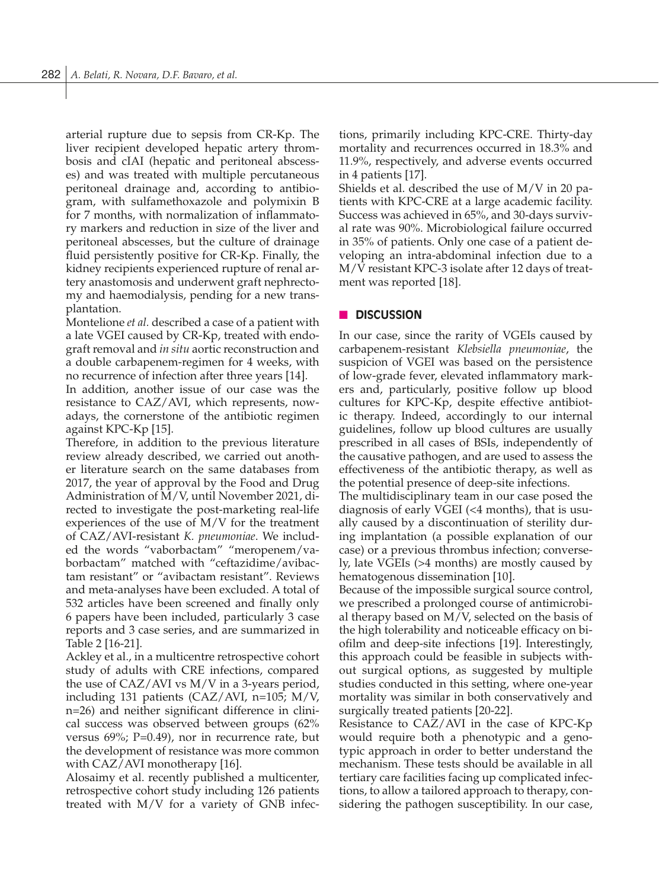arterial rupture due to sepsis from CR-Kp. The liver recipient developed hepatic artery thrombosis and cIAI (hepatic and peritoneal abscesses) and was treated with multiple percutaneous peritoneal drainage and, according to antibiogram, with sulfamethoxazole and polymixin B for 7 months, with normalization of inflammatory markers and reduction in size of the liver and peritoneal abscesses, but the culture of drainage fluid persistently positive for CR-Kp. Finally, the kidney recipients experienced rupture of renal artery anastomosis and underwent graft nephrectomy and haemodialysis, pending for a new transplantation.

Montelione *et al.* described a case of a patient with a late VGEI caused by CR-Kp, treated with endograft removal and *in situ* aortic reconstruction and a double carbapenem-regimen for 4 weeks, with no recurrence of infection after three years [14].

In addition, another issue of our case was the resistance to CAZ/AVI, which represents, nowadays, the cornerstone of the antibiotic regimen against KPC-Kp [15].

Therefore, in addition to the previous literature review already described, we carried out another literature search on the same databases from 2017, the year of approval by the Food and Drug Administration of M/V, until November 2021, directed to investigate the post-marketing real-life experiences of the use of M/V for the treatment of CAZ/AVI-resistant *K. pneumoniae*. We included the words "vaborbactam" "meropenem/vaborbactam" matched with "ceftazidime/avibactam resistant" or "avibactam resistant". Reviews and meta-analyses have been excluded. A total of 532 articles have been screened and finally only 6 papers have been included, particularly 3 case reports and 3 case series, and are summarized in Table 2 [16-21].

Ackley et al., in a multicentre retrospective cohort study of adults with CRE infections, compared the use of CAZ/AVI vs M/V in a 3-years period, including 131 patients (CAZ/AVI, n=105; M/V, n=26) and neither significant difference in clinical success was observed between groups (62% versus 69%; P=0.49), nor in recurrence rate, but the development of resistance was more common with CAZ/AVI monotherapy [16].

Alosaimy et al. recently published a multicenter, retrospective cohort study including 126 patients treated with M/V for a variety of GNB infections, primarily including KPC-CRE. Thirty-day mortality and recurrences occurred in 18.3% and 11.9%, respectively, and adverse events occurred in 4 patients [17].

Shields et al. described the use of M/V in 20 patients with KPC-CRE at a large academic facility. Success was achieved in 65%, and 30-days survival rate was 90%. Microbiological failure occurred in 35% of patients. Only one case of a patient developing an intra-abdominal infection due to a M/V resistant KPC-3 isolate after 12 days of treatment was reported [18].

## **n** DISCUSSION

In our case, since the rarity of VGEIs caused by carbapenem-resistant *Klebsiella pneumoniae*, the suspicion of VGEI was based on the persistence of low-grade fever, elevated inflammatory markers and, particularly, positive follow up blood cultures for KPC-Kp, despite effective antibiotic therapy. Indeed, accordingly to our internal guidelines, follow up blood cultures are usually prescribed in all cases of BSIs, independently of the causative pathogen, and are used to assess the effectiveness of the antibiotic therapy, as well as the potential presence of deep-site infections.

The multidisciplinary team in our case posed the diagnosis of early VGEI (<4 months), that is usually caused by a discontinuation of sterility during implantation (a possible explanation of our case) or a previous thrombus infection; conversely, late VGEIs (>4 months) are mostly caused by hematogenous dissemination [10].

Because of the impossible surgical source control, we prescribed a prolonged course of antimicrobial therapy based on M/V, selected on the basis of the high tolerability and noticeable efficacy on biofilm and deep-site infections [19]. Interestingly, this approach could be feasible in subjects without surgical options, as suggested by multiple studies conducted in this setting, where one-year mortality was similar in both conservatively and surgically treated patients [20-22].

Resistance to CAZ/AVI in the case of KPC-Kp would require both a phenotypic and a genotypic approach in order to better understand the mechanism. These tests should be available in all tertiary care facilities facing up complicated infections, to allow a tailored approach to therapy, considering the pathogen susceptibility. In our case,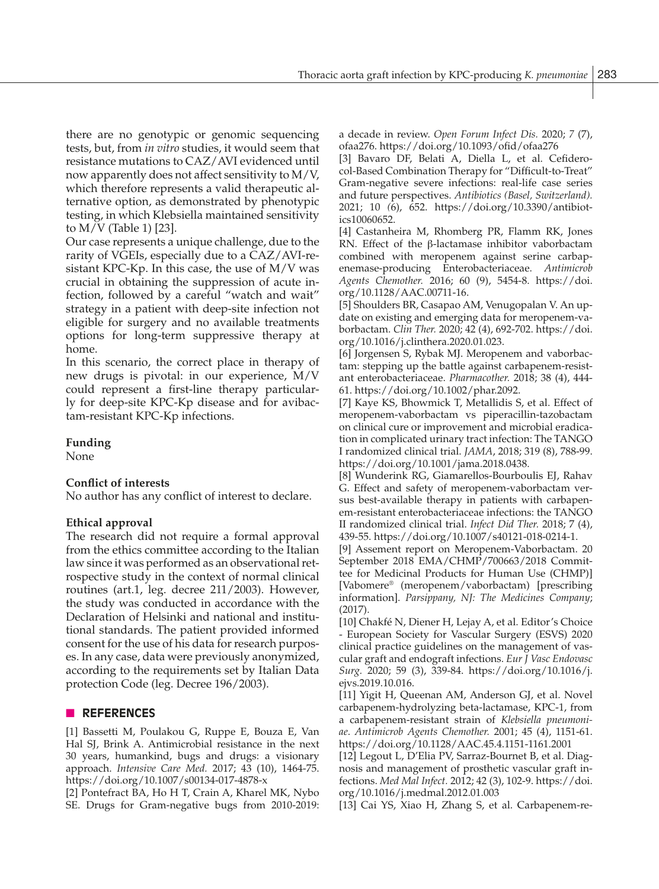there are no genotypic or genomic sequencing tests, but, from *in vitro* studies, it would seem that resistance mutations to CAZ/AVI evidenced until now apparently does not affect sensitivity to M/V, which therefore represents a valid therapeutic alternative option, as demonstrated by phenotypic testing, in which Klebsiella maintained sensitivity to M/V (Table 1) [23].

Our case represents a unique challenge, due to the rarity of VGEIs, especially due to a CAZ/AVI-resistant KPC-Kp. In this case, the use of M/V was crucial in obtaining the suppression of acute infection, followed by a careful "watch and wait" strategy in a patient with deep-site infection not eligible for surgery and no available treatments options for long-term suppressive therapy at home.

In this scenario, the correct place in therapy of new drugs is pivotal: in our experience, M/V could represent a first-line therapy particularly for deep-site KPC-Kp disease and for avibactam-resistant KPC-Kp infections.

## **Funding**

None

## **Conflict of interests**

No author has any conflict of interest to declare.

## **Ethical approval**

The research did not require a formal approval from the ethics committee according to the Italian law since it was performed as an observational retrospective study in the context of normal clinical routines (art.1, leg. decree 211/2003). However, the study was conducted in accordance with the Declaration of Helsinki and national and institutional standards. The patient provided informed consent for the use of his data for research purposes. In any case, data were previously anonymized, according to the requirements set by Italian Data protection Code (leg. Decree 196/2003).

## n **REFERENCES**

[1] Bassetti M, Poulakou G, Ruppe E, Bouza E, Van Hal SJ, Brink A. Antimicrobial resistance in the next 30 years, humankind, bugs and drugs: a visionary approach. *Intensive Care Med.* 2017; 43 (10), 1464-75. https://doi.org/10.1007/s00134-017-4878-x

[2] Pontefract BA, Ho H T, Crain A, Kharel MK, Nybo SE. Drugs for Gram-negative bugs from 2010-2019: a decade in review. *Open Forum Infect Dis.* 2020; *7* (7), ofaa276. https://doi.org/10.1093/ofid/ofaa276

[3] Bavaro DF, Belati A, Diella L, et al. Cefiderocol-Based Combination Therapy for "Difficult-to-Treat" Gram-negative severe infections: real-life case series and future perspectives. *Antibiotics (Basel, Switzerland).* 2021; 10 *(*6), 652. https://doi.org/10.3390/antibiotics10060652.

[4] Castanheira M, Rhomberg PR, Flamm RK, Jones RN. Effect of the β-lactamase inhibitor vaborbactam combined with meropenem against serine carbapenemase-producing Enterobacteriaceae. *Antimicrob Agents Chemother.* 2016; 60 (9), 5454-8. https://doi. org/10.1128/AAC.00711-16.

[5] Shoulders BR, Casapao AM, Venugopalan V. An update on existing and emerging data for meropenem-vaborbactam. *Clin Ther.* 2020; 42 (4), 692-702. https://doi. org/10.1016/j.clinthera.2020.01.023.

[6] Jorgensen S, Rybak MJ. Meropenem and vaborbactam: stepping up the battle against carbapenem-resistant enterobacteriaceae. *Pharmacother.* 2018; 38 (4), 444- 61. https://doi.org/10.1002/phar.2092.

[7] Kaye KS, Bhowmick T, Metallidis S, et al. Effect of meropenem-vaborbactam vs piperacillin-tazobactam on clinical cure or improvement and microbial eradication in complicated urinary tract infection: The TANGO I randomized clinical trial. *JAMA*, 2018; 319 (8), 788-99. https://doi.org/10.1001/jama.2018.0438.

[8] Wunderink RG, Giamarellos-Bourboulis EJ, Rahav G. Effect and safety of meropenem-vaborbactam versus best-available therapy in patients with carbapenem-resistant enterobacteriaceae infections: the TANGO II randomized clinical trial. *Infect Did Ther.* 2018; 7 (4), 439-55. https://doi.org/10.1007/s40121-018-0214-1.

[9] Assement report on Meropenem-Vaborbactam. 20 September 2018 EMA/CHMP/700663/2018 Committee for Medicinal Products for Human Use (CHMP)] [Vabomere® (meropenem/vaborbactam) [prescribing information]. *Parsippany, NJ: The Medicines Company*; (2017).

[10] Chakfé N, Diener H, Lejay A, et al. Editor's Choice - European Society for Vascular Surgery (ESVS) 2020 clinical practice guidelines on the management of vascular graft and endograft infections. *Eur J Vasc Endovasc Surg.* 2020; 59 (3), 339-84. https://doi.org/10.1016/j. ejvs.2019.10.016.

[11] Yigit H, Queenan AM, Anderson GJ, et al. Novel carbapenem-hydrolyzing beta-lactamase, KPC-1, from a carbapenem-resistant strain of *Klebsiella pneumoniae*. *Antimicrob Agents Chemother.* 2001; 45 (4), 1151-61. https://doi.org/10.1128/AAC.45.4.1151-1161.2001

[12] Legout L, D'Elia PV, Sarraz-Bournet B, et al. Diagnosis and management of prosthetic vascular graft infections. *Med Mal Infect.* 2012; 42 (3), 102-9. https://doi. org/10.1016/j.medmal.2012.01.003

[13] Cai YS, Xiao H, Zhang S, et al. Carbapenem-re-